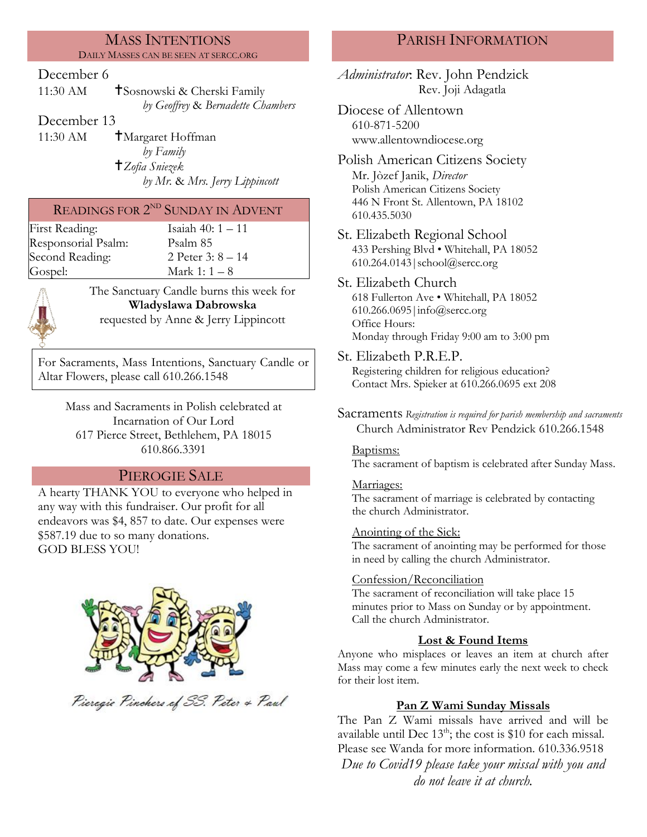# MASS INTENTIONS

DAILY MASSES CAN BE SEEN AT SERCC.ORG

### December 6

11:30 AM **T**Sosnowski & Cherski Family *by Geoffrey* & *Bernadette Chambers*

December 13

11:30 AM  $\dagger$ Margaret Hoffman *by Family Zofia Sniezek by Mr.* & *Mrs. Jerry Lippincott*

## READINGS FOR 2<sup>ND</sup> SUNDAY IN ADVENT

First Reading: Isaiah 40: 1 – 11 Responsorial Psalm: [Psalm 8](http://www.usccb.org/bible/readings/bible/psalms/25:4)5<br>Second Reading: 2 Peter 3: 8 – 14 Second Reading:

Gospel:  $\text{Mark } 1: 1-8$ 



The Sanctuary Candle burns this week for **Wladyslawa Dabrowska** requested by Anne & Jerry Lippincott

For Sacraments, Mass Intentions, Sanctuary Candle or Altar Flowers, please call 610.266.1548

Mass and Sacraments in Polish celebrated at Incarnation of Our Lord 617 Pierce Street, Bethlehem, PA 18015 610.866.3391

## PIEROGIE SALE

A hearty THANK YOU to everyone who helped in any way with this fundraiser. Our profit for all endeavors was \$4, 857 to date. Our expenses were \$587.19 due to so many donations. GOD BLESS YOU!



Pieregie Pinchers of SS. Peter & Paul

## PARISH INFORMATION

*Administrator*: Rev. John Pendzick Rev. Joji Adagatla

Diocese of Allentown 610-871-5200 www.allentowndiocese.org

Polish American Citizens Society Mr. Jòzef Janik, *Director* Polish American Citizens Society 446 N Front St. Allentown, PA 18102 610.435.5030

St. Elizabeth Regional School 433 Pershing Blvd • Whitehall, PA 18052 610.264.0143|school@sercc.org

### St. Elizabeth Church 618 Fullerton Ave • Whitehall, PA 18052 610.266.0695|info@sercc.org Office Hours: Monday through Friday 9:00 am to 3:00 pm

St. Elizabeth P.R.E.P.

Registering children for religious education? Contact Mrs. Spieker at 610.266.0695 ext 208

Sacraments *Registration is required for parish membership and sacraments* Church Administrator Rev Pendzick 610.266.1548

### Baptisms:

The sacrament of baptism is celebrated after Sunday Mass.

### Marriages:

The sacrament of marriage is celebrated by contacting the church Administrator.

### Anointing of the Sick:

The sacrament of anointing may be performed for those in need by calling the church Administrator.

### Confession/Reconciliation

The sacrament of reconciliation will take place 15 minutes prior to Mass on Sunday or by appointment. Call the church Administrator.

### **Lost & Found Items**

Anyone who misplaces or leaves an item at church after Mass may come a few minutes early the next week to check for their lost item.

### **Pan Z Wami Sunday Missals**

The Pan Z Wami missals have arrived and will be available until Dec  $13<sup>th</sup>$ ; the cost is \$10 for each missal. Please see Wanda for more information. 610.336.9518 *Due to Covid19 please take your missal with you and do not leave it at church.*